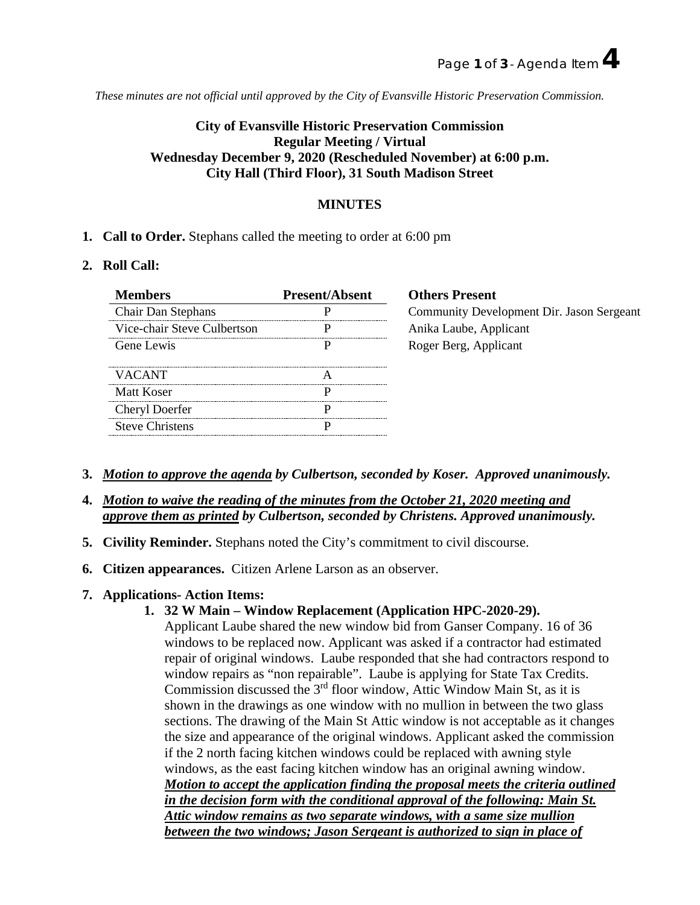*These minutes are not official until approved by the City of Evansville Historic Preservation Commission.*

# **City of Evansville Historic Preservation Commission Regular Meeting / Virtual Wednesday December 9, 2020 (Rescheduled November) at 6:00 p.m. City Hall (Third Floor), 31 South Madison Street**

# **MINUTES**

**1. Call to Order.** Stephans called the meeting to order at 6:00 pm

### **2. Roll Call:**

| Members                     | <b>Present/Absent</b> | <b>Others Present</b>                     |
|-----------------------------|-----------------------|-------------------------------------------|
| <b>Chair Dan Stephans</b>   |                       | Community Development Dir. Jason Sergeant |
| Vice-chair Steve Culbertson |                       | Anika Laube, Applicant                    |
| Gene Lewis                  |                       | Roger Berg, Applicant                     |
| <b>VACANT</b>               |                       |                                           |
| Matt Koser                  |                       |                                           |
| Cheryl Doerfer              |                       |                                           |
| <b>Steve Christens</b>      |                       |                                           |

- **3.** *Motion to approve the agenda by Culbertson, seconded by Koser. Approved unanimously.*
- **4.** *Motion to waive the reading of the minutes from the October 21, 2020 meeting and approve them as printed by Culbertson, seconded by Christens. Approved unanimously.*
- **5. Civility Reminder.** Stephans noted the City's commitment to civil discourse.
- **6. Citizen appearances.** Citizen Arlene Larson as an observer.
- **7. Applications- Action Items:**

# **1. 32 W Main – Window Replacement (Application HPC-2020-29).**

Applicant Laube shared the new window bid from Ganser Company. 16 of 36 windows to be replaced now. Applicant was asked if a contractor had estimated repair of original windows. Laube responded that she had contractors respond to window repairs as "non repairable". Laube is applying for State Tax Credits. Commission discussed the  $3<sup>rd</sup>$  floor window, Attic Window Main St, as it is shown in the drawings as one window with no mullion in between the two glass sections. The drawing of the Main St Attic window is not acceptable as it changes the size and appearance of the original windows. Applicant asked the commission if the 2 north facing kitchen windows could be replaced with awning style windows, as the east facing kitchen window has an original awning window. *Motion to accept the application finding the proposal meets the criteria outlined in the decision form with the conditional approval of the following: Main St. Attic window remains as two separate windows, with a same size mullion between the two windows; Jason Sergeant is authorized to sign in place of*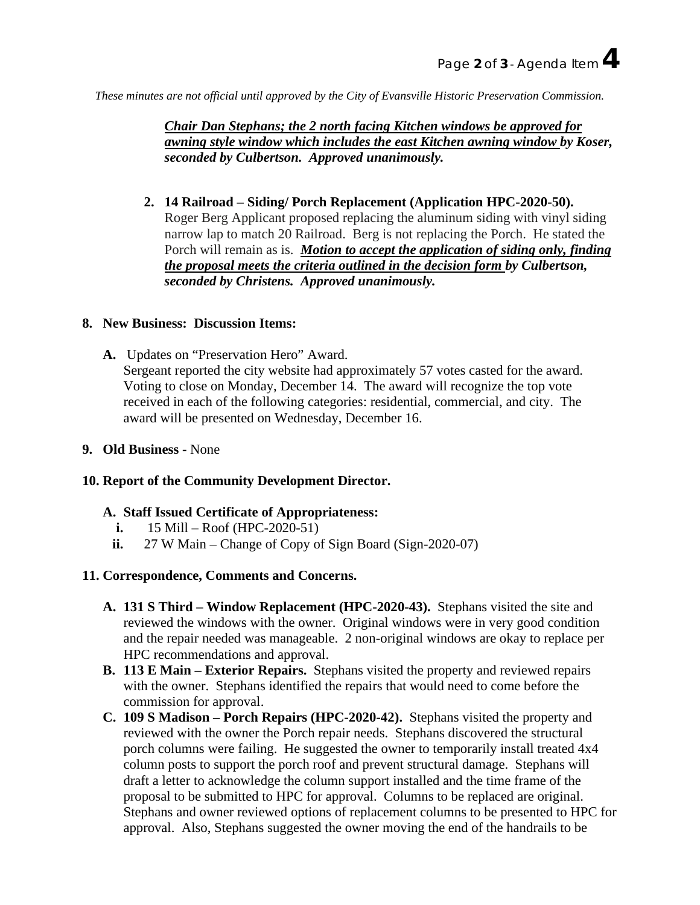*These minutes are not official until approved by the City of Evansville Historic Preservation Commission.*

*Chair Dan Stephans; the 2 north facing Kitchen windows be approved for awning style window which includes the east Kitchen awning window by Koser, seconded by Culbertson. Approved unanimously.*

**2. 14 Railroad – Siding/ Porch Replacement (Application HPC-2020-50).** Roger Berg Applicant proposed replacing the aluminum siding with vinyl siding narrow lap to match 20 Railroad. Berg is not replacing the Porch. He stated the Porch will remain as is. *Motion to accept the application of siding only, finding the proposal meets the criteria outlined in the decision form by Culbertson, seconded by Christens. Approved unanimously.*

#### **8. New Business: Discussion Items:**

- **A.** Updates on "Preservation Hero" Award. Sergeant reported the city website had approximately 57 votes casted for the award. Voting to close on Monday, December 14. The award will recognize the top vote received in each of the following categories: residential, commercial, and city. The award will be presented on Wednesday, December 16.
- **9. Old Business -** None

## **10. Report of the Community Development Director.**

## **A. Staff Issued Certificate of Appropriateness:**

- **i.** 15 Mill Roof (HPC-2020-51)
- ii. 27 W Main Change of Copy of Sign Board (Sign-2020-07)

#### **11. Correspondence, Comments and Concerns.**

- **A. 131 S Third – Window Replacement (HPC-2020-43).** Stephans visited the site and reviewed the windows with the owner. Original windows were in very good condition and the repair needed was manageable. 2 non-original windows are okay to replace per HPC recommendations and approval.
- **B. 113 E Main – Exterior Repairs.** Stephans visited the property and reviewed repairs with the owner. Stephans identified the repairs that would need to come before the commission for approval.
- **C. 109 S Madison – Porch Repairs (HPC-2020-42).** Stephans visited the property and reviewed with the owner the Porch repair needs. Stephans discovered the structural porch columns were failing. He suggested the owner to temporarily install treated 4x4 column posts to support the porch roof and prevent structural damage. Stephans will draft a letter to acknowledge the column support installed and the time frame of the proposal to be submitted to HPC for approval. Columns to be replaced are original. Stephans and owner reviewed options of replacement columns to be presented to HPC for approval. Also, Stephans suggested the owner moving the end of the handrails to be